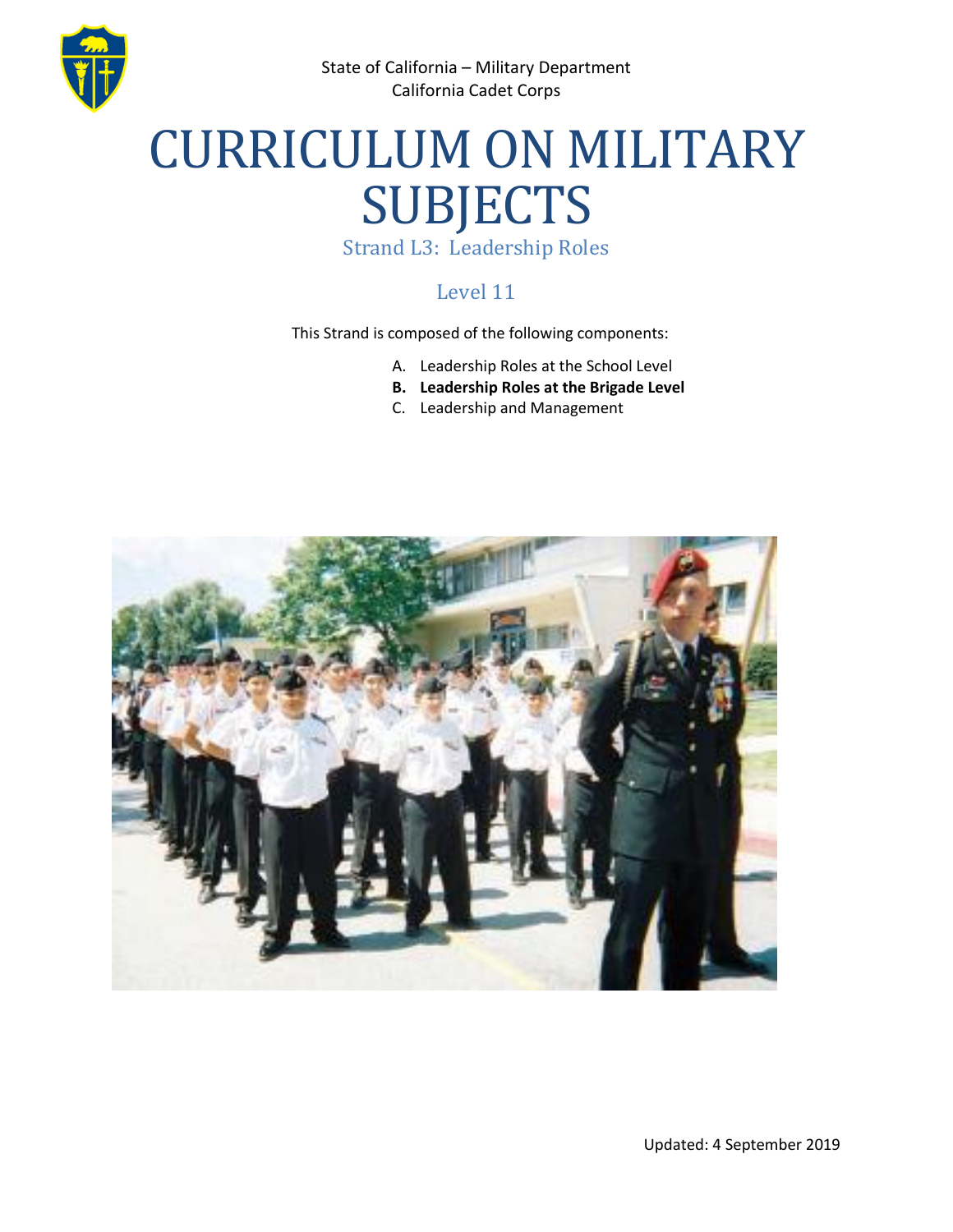

State of California – Military Department California Cadet Corps

# CURRICULUM ON MILITARY SUBJECTS

Strand L3: Leadership Roles

### Level 11

This Strand is composed of the following components:

- A. Leadership Roles at the School Level
- **B. Leadership Roles at the Brigade Level**
- C. Leadership and Management

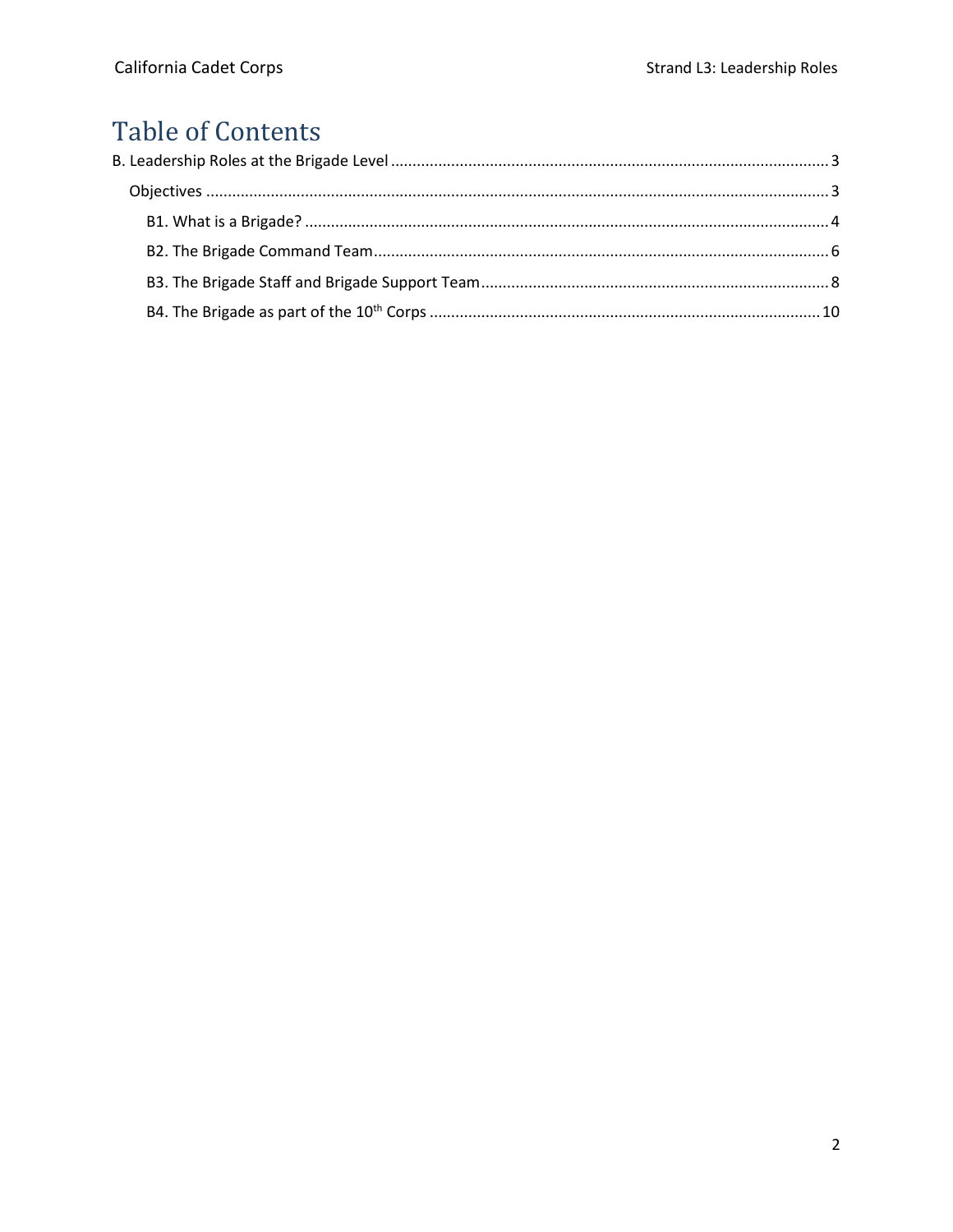# **Table of Contents**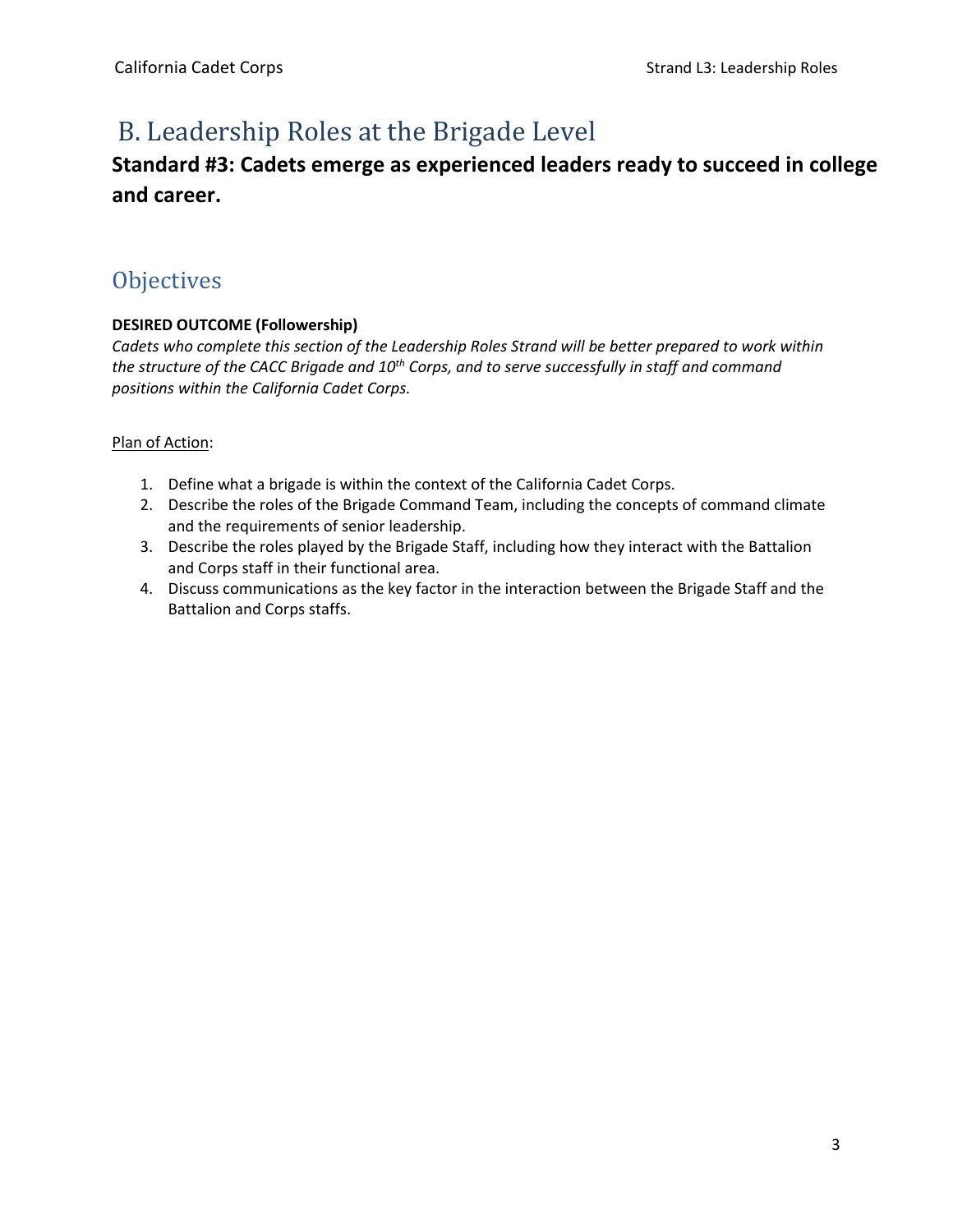# <span id="page-2-0"></span>B. Leadership Roles at the Brigade Level

## **Standard #3: Cadets emerge as experienced leaders ready to succeed in college and career.**

## <span id="page-2-1"></span>**Objectives**

#### **DESIRED OUTCOME (Followership)**

*Cadets who complete this section of the Leadership Roles Strand will be better prepared to work within the structure of the CACC Brigade and 10th Corps, and to serve successfully in staff and command positions within the California Cadet Corps.* 

#### Plan of Action:

- 1. Define what a brigade is within the context of the California Cadet Corps.
- 2. Describe the roles of the Brigade Command Team, including the concepts of command climate and the requirements of senior leadership.
- 3. Describe the roles played by the Brigade Staff, including how they interact with the Battalion and Corps staff in their functional area.
- 4. Discuss communications as the key factor in the interaction between the Brigade Staff and the Battalion and Corps staffs.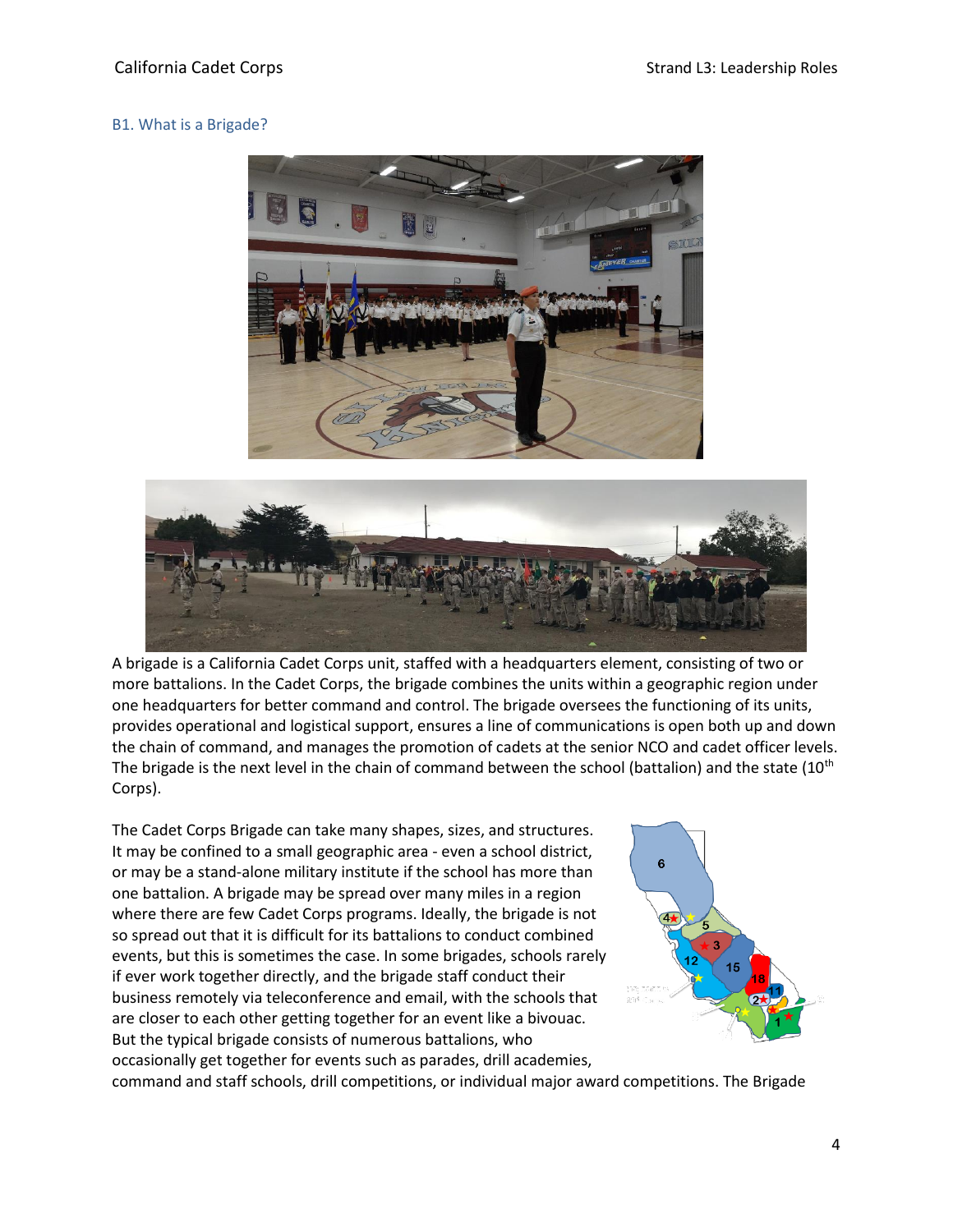#### <span id="page-3-0"></span>B1. What is a Brigade?





A brigade is a California Cadet Corps unit, staffed with a headquarters element, consisting of two or more battalions. In the Cadet Corps, the brigade combines the units within a geographic region under one headquarters for better command and control. The brigade oversees the functioning of its units, provides operational and logistical support, ensures a line of communications is open both up and down the chain of command, and manages the promotion of cadets at the senior NCO and cadet officer levels. The brigade is the next level in the chain of command between the school (battalion) and the state  $(10<sup>th</sup>$ Corps).

The Cadet Corps Brigade can take many shapes, sizes, and structures. It may be confined to a small geographic area - even a school district, or may be a stand-alone military institute if the school has more than one battalion. A brigade may be spread over many miles in a region where there are few Cadet Corps programs. Ideally, the brigade is not so spread out that it is difficult for its battalions to conduct combined events, but this is sometimes the case. In some brigades, schools rarely if ever work together directly, and the brigade staff conduct their business remotely via teleconference and email, with the schools that are closer to each other getting together for an event like a bivouac. But the typical brigade consists of numerous battalions, who occasionally get together for events such as parades, drill academies, command and staff schools, drill competitions, or individual major award competitions. The Brigade

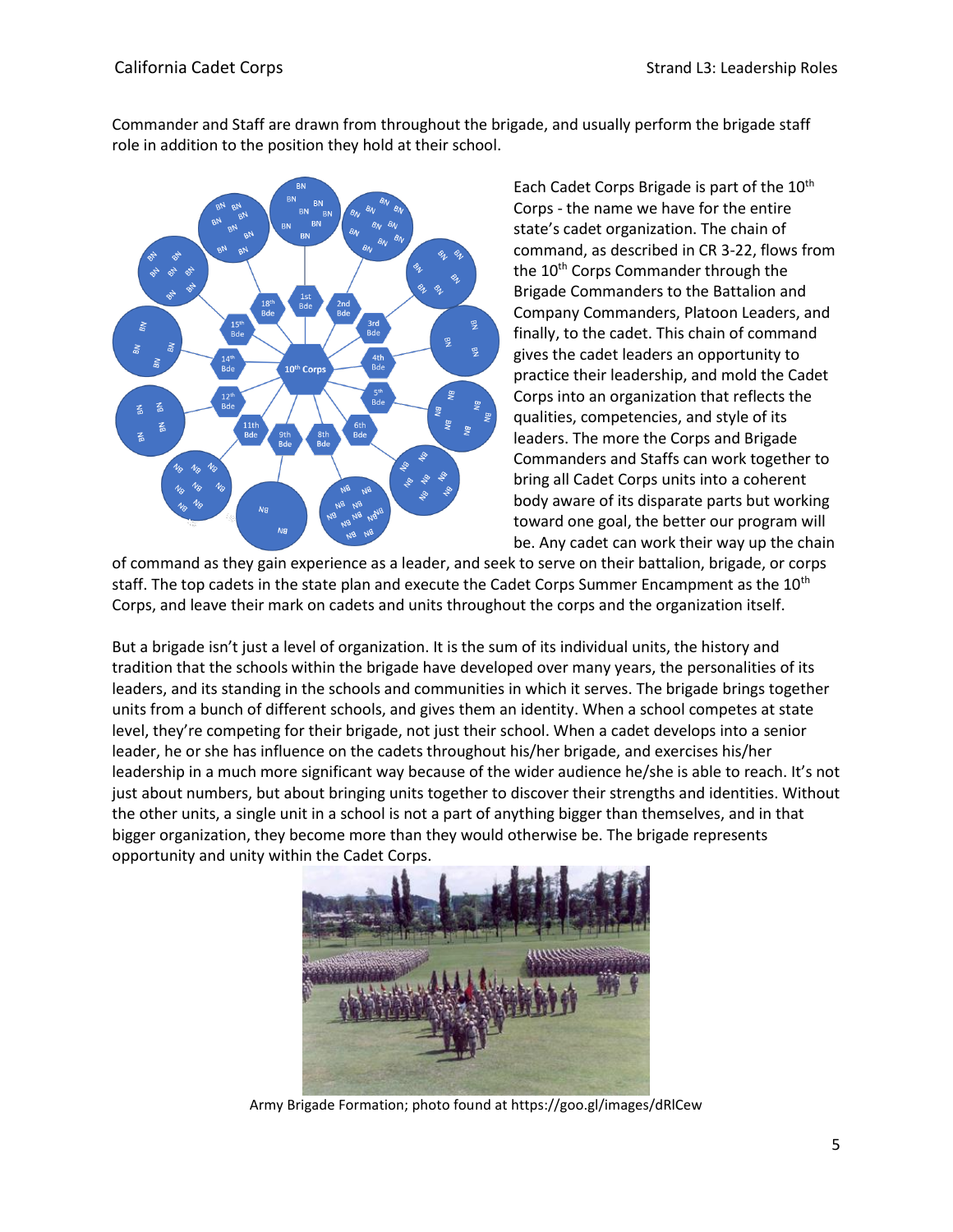Commander and Staff are drawn from throughout the brigade, and usually perform the brigade staff role in addition to the position they hold at their school.



Each Cadet Corps Brigade is part of the 10<sup>th</sup> Corps - the name we have for the entire state's cadet organization. The chain of command, as described in CR 3-22, flows from the  $10<sup>th</sup>$  Corps Commander through the Brigade Commanders to the Battalion and Company Commanders, Platoon Leaders, and finally, to the cadet. This chain of command gives the cadet leaders an opportunity to practice their leadership, and mold the Cadet Corps into an organization that reflects the qualities, competencies, and style of its leaders. The more the Corps and Brigade Commanders and Staffs can work together to bring all Cadet Corps units into a coherent body aware of its disparate parts but working toward one goal, the better our program will be. Any cadet can work their way up the chain

of command as they gain experience as a leader, and seek to serve on their battalion, brigade, or corps staff. The top cadets in the state plan and execute the Cadet Corps Summer Encampment as the 10<sup>th</sup> Corps, and leave their mark on cadets and units throughout the corps and the organization itself.

But a brigade isn't just a level of organization. It is the sum of its individual units, the history and tradition that the schools within the brigade have developed over many years, the personalities of its leaders, and its standing in the schools and communities in which it serves. The brigade brings together units from a bunch of different schools, and gives them an identity. When a school competes at state level, they're competing for their brigade, not just their school. When a cadet develops into a senior leader, he or she has influence on the cadets throughout his/her brigade, and exercises his/her leadership in a much more significant way because of the wider audience he/she is able to reach. It's not just about numbers, but about bringing units together to discover their strengths and identities. Without the other units, a single unit in a school is not a part of anything bigger than themselves, and in that bigger organization, they become more than they would otherwise be. The brigade represents opportunity and unity within the Cadet Corps.



Army Brigade Formation; photo found at https://goo.gl/images/dRlCew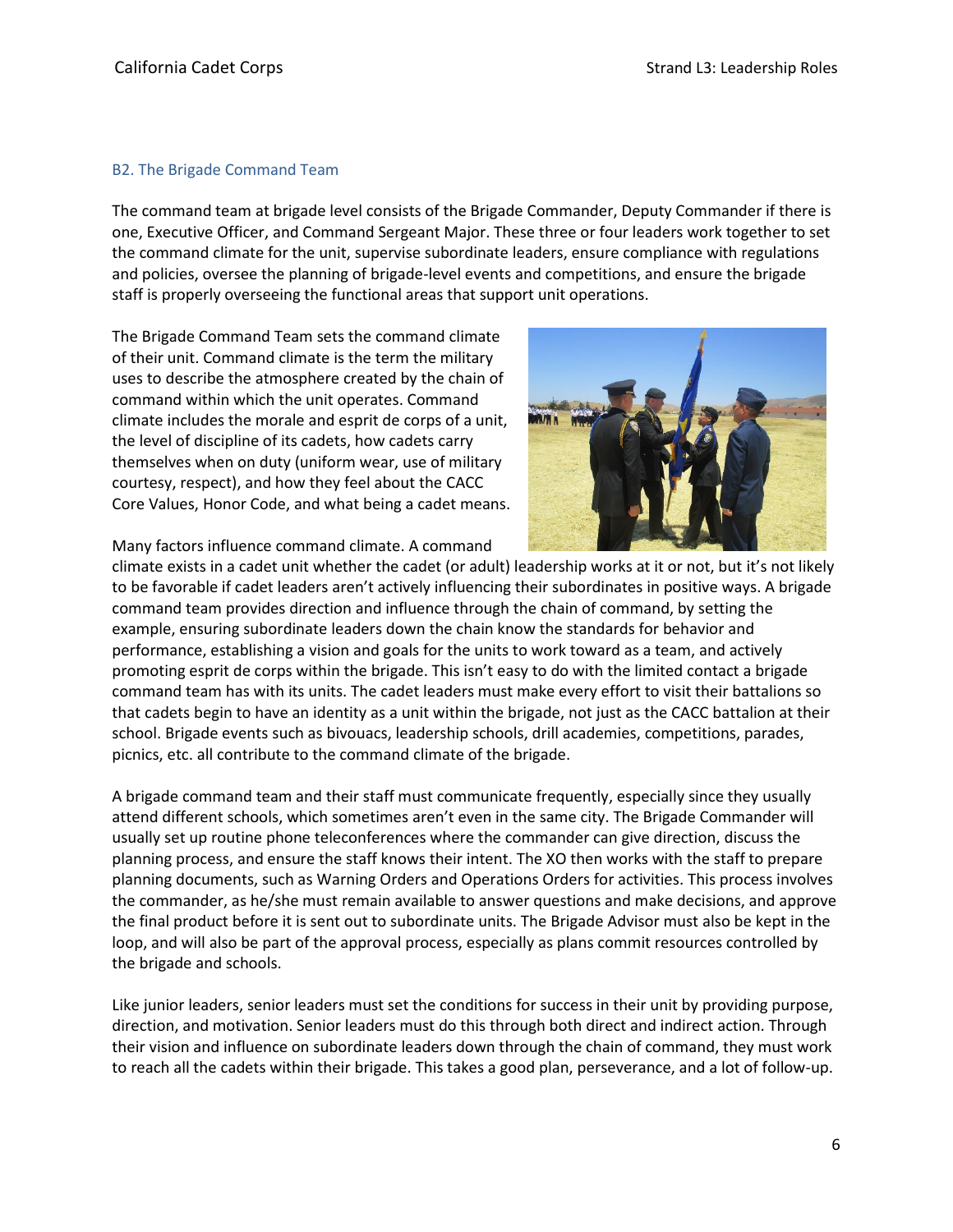#### <span id="page-5-0"></span>B2. The Brigade Command Team

The command team at brigade level consists of the Brigade Commander, Deputy Commander if there is one, Executive Officer, and Command Sergeant Major. These three or four leaders work together to set the command climate for the unit, supervise subordinate leaders, ensure compliance with regulations and policies, oversee the planning of brigade-level events and competitions, and ensure the brigade staff is properly overseeing the functional areas that support unit operations.

The Brigade Command Team sets the command climate of their unit. Command climate is the term the military uses to describe the atmosphere created by the chain of command within which the unit operates. Command climate includes the morale and esprit de corps of a unit, the level of discipline of its cadets, how cadets carry themselves when on duty (uniform wear, use of military courtesy, respect), and how they feel about the CACC Core Values, Honor Code, and what being a cadet means.



Many factors influence command climate. A command

climate exists in a cadet unit whether the cadet (or adult) leadership works at it or not, but it's not likely to be favorable if cadet leaders aren't actively influencing their subordinates in positive ways. A brigade command team provides direction and influence through the chain of command, by setting the example, ensuring subordinate leaders down the chain know the standards for behavior and performance, establishing a vision and goals for the units to work toward as a team, and actively promoting esprit de corps within the brigade. This isn't easy to do with the limited contact a brigade command team has with its units. The cadet leaders must make every effort to visit their battalions so that cadets begin to have an identity as a unit within the brigade, not just as the CACC battalion at their school. Brigade events such as bivouacs, leadership schools, drill academies, competitions, parades, picnics, etc. all contribute to the command climate of the brigade.

A brigade command team and their staff must communicate frequently, especially since they usually attend different schools, which sometimes aren't even in the same city. The Brigade Commander will usually set up routine phone teleconferences where the commander can give direction, discuss the planning process, and ensure the staff knows their intent. The XO then works with the staff to prepare planning documents, such as Warning Orders and Operations Orders for activities. This process involves the commander, as he/she must remain available to answer questions and make decisions, and approve the final product before it is sent out to subordinate units. The Brigade Advisor must also be kept in the loop, and will also be part of the approval process, especially as plans commit resources controlled by the brigade and schools.

Like junior leaders, senior leaders must set the conditions for success in their unit by providing purpose, direction, and motivation. Senior leaders must do this through both direct and indirect action. Through their vision and influence on subordinate leaders down through the chain of command, they must work to reach all the cadets within their brigade. This takes a good plan, perseverance, and a lot of follow-up.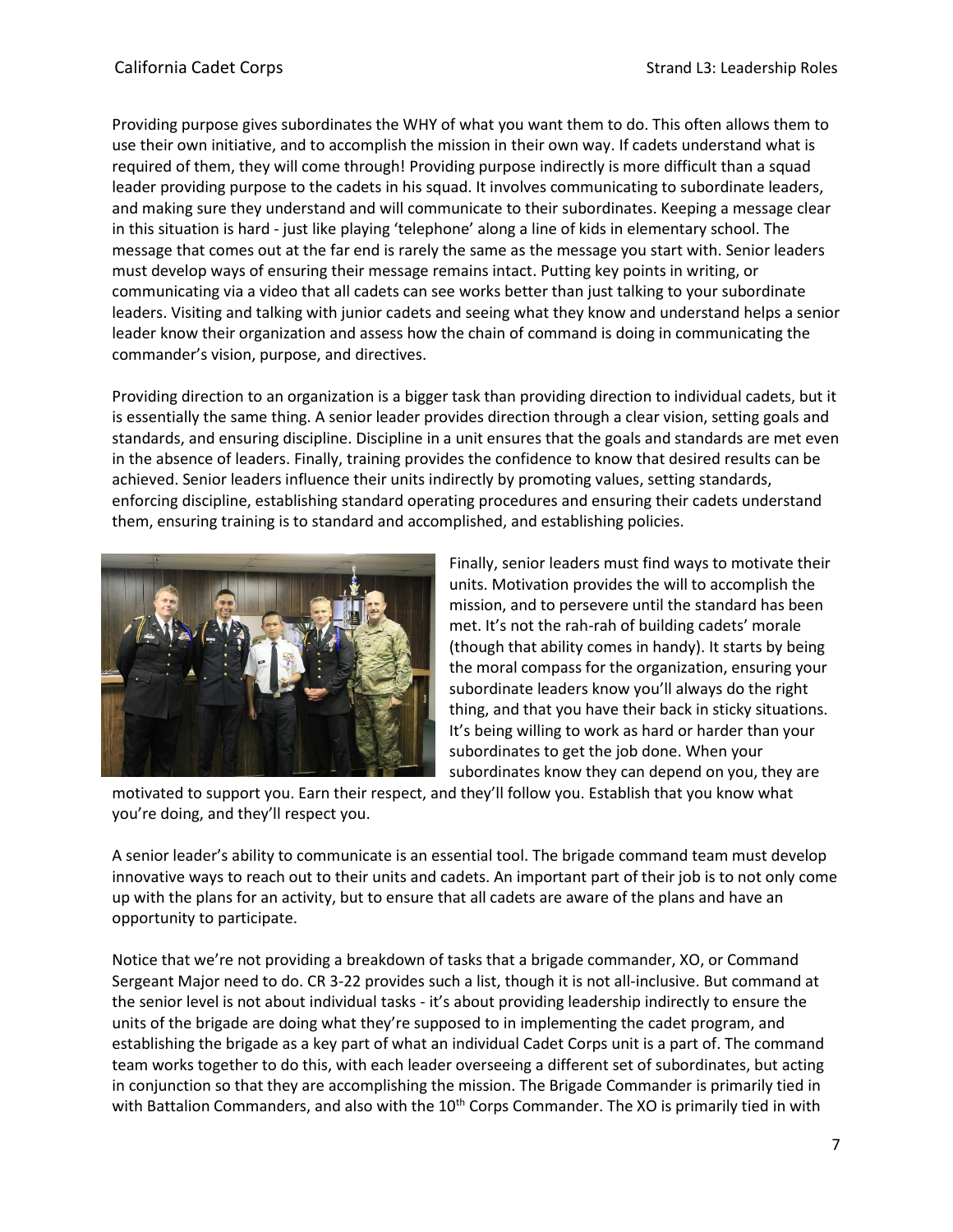Providing purpose gives subordinates the WHY of what you want them to do. This often allows them to use their own initiative, and to accomplish the mission in their own way. If cadets understand what is required of them, they will come through! Providing purpose indirectly is more difficult than a squad leader providing purpose to the cadets in his squad. It involves communicating to subordinate leaders, and making sure they understand and will communicate to their subordinates. Keeping a message clear in this situation is hard - just like playing 'telephone' along a line of kids in elementary school. The message that comes out at the far end is rarely the same as the message you start with. Senior leaders must develop ways of ensuring their message remains intact. Putting key points in writing, or communicating via a video that all cadets can see works better than just talking to your subordinate leaders. Visiting and talking with junior cadets and seeing what they know and understand helps a senior leader know their organization and assess how the chain of command is doing in communicating the commander's vision, purpose, and directives.

Providing direction to an organization is a bigger task than providing direction to individual cadets, but it is essentially the same thing. A senior leader provides direction through a clear vision, setting goals and standards, and ensuring discipline. Discipline in a unit ensures that the goals and standards are met even in the absence of leaders. Finally, training provides the confidence to know that desired results can be achieved. Senior leaders influence their units indirectly by promoting values, setting standards, enforcing discipline, establishing standard operating procedures and ensuring their cadets understand them, ensuring training is to standard and accomplished, and establishing policies.



Finally, senior leaders must find ways to motivate their units. Motivation provides the will to accomplish the mission, and to persevere until the standard has been met. It's not the rah-rah of building cadets' morale (though that ability comes in handy). It starts by being the moral compass for the organization, ensuring your subordinate leaders know you'll always do the right thing, and that you have their back in sticky situations. It's being willing to work as hard or harder than your subordinates to get the job done. When your subordinates know they can depend on you, they are

motivated to support you. Earn their respect, and they'll follow you. Establish that you know what you're doing, and they'll respect you.

A senior leader's ability to communicate is an essential tool. The brigade command team must develop innovative ways to reach out to their units and cadets. An important part of their job is to not only come up with the plans for an activity, but to ensure that all cadets are aware of the plans and have an opportunity to participate.

Notice that we're not providing a breakdown of tasks that a brigade commander, XO, or Command Sergeant Major need to do. CR 3-22 provides such a list, though it is not all-inclusive. But command at the senior level is not about individual tasks - it's about providing leadership indirectly to ensure the units of the brigade are doing what they're supposed to in implementing the cadet program, and establishing the brigade as a key part of what an individual Cadet Corps unit is a part of. The command team works together to do this, with each leader overseeing a different set of subordinates, but acting in conjunction so that they are accomplishing the mission. The Brigade Commander is primarily tied in with Battalion Commanders, and also with the 10<sup>th</sup> Corps Commander. The XO is primarily tied in with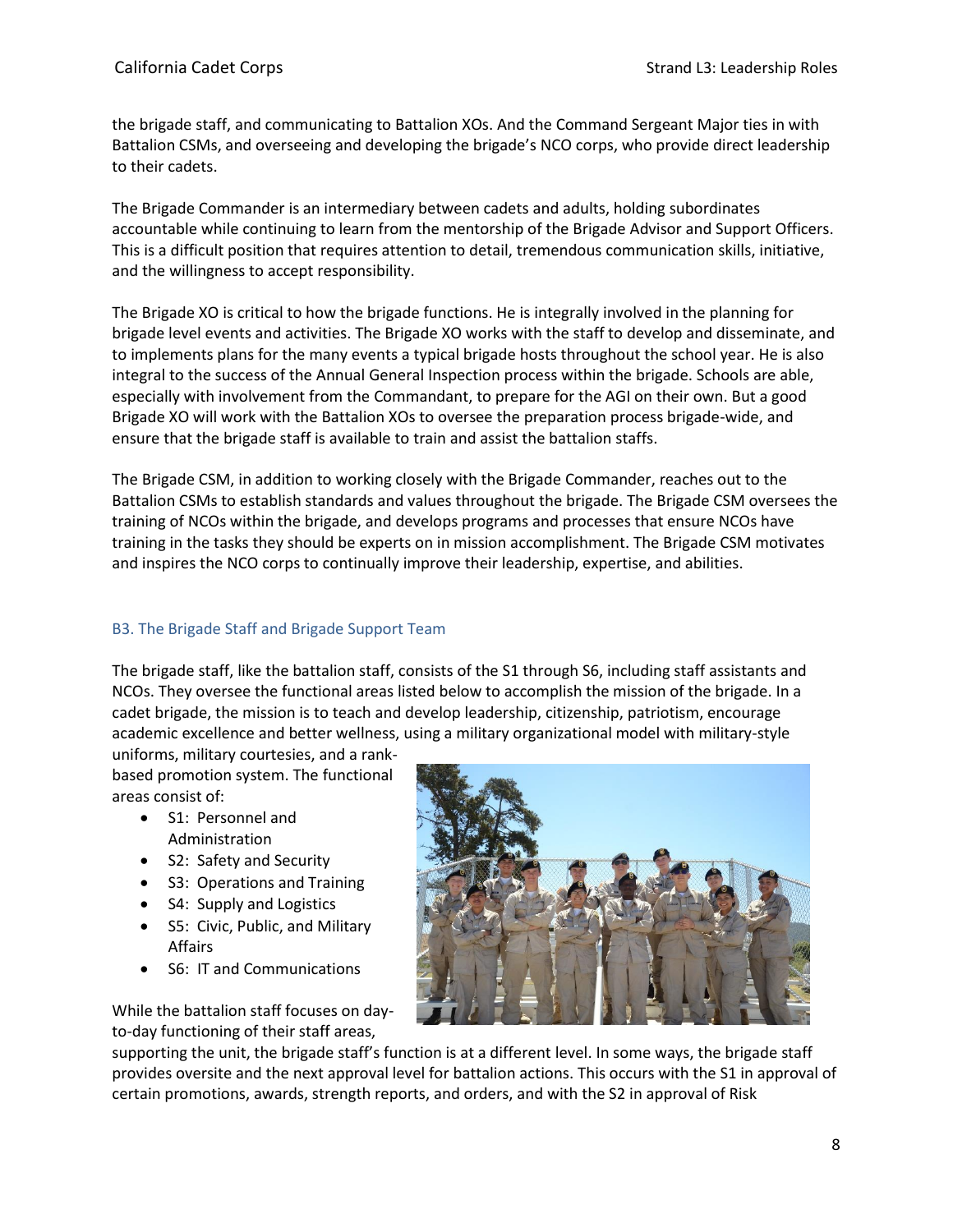the brigade staff, and communicating to Battalion XOs. And the Command Sergeant Major ties in with Battalion CSMs, and overseeing and developing the brigade's NCO corps, who provide direct leadership to their cadets.

The Brigade Commander is an intermediary between cadets and adults, holding subordinates accountable while continuing to learn from the mentorship of the Brigade Advisor and Support Officers. This is a difficult position that requires attention to detail, tremendous communication skills, initiative, and the willingness to accept responsibility.

The Brigade XO is critical to how the brigade functions. He is integrally involved in the planning for brigade level events and activities. The Brigade XO works with the staff to develop and disseminate, and to implements plans for the many events a typical brigade hosts throughout the school year. He is also integral to the success of the Annual General Inspection process within the brigade. Schools are able, especially with involvement from the Commandant, to prepare for the AGI on their own. But a good Brigade XO will work with the Battalion XOs to oversee the preparation process brigade-wide, and ensure that the brigade staff is available to train and assist the battalion staffs.

The Brigade CSM, in addition to working closely with the Brigade Commander, reaches out to the Battalion CSMs to establish standards and values throughout the brigade. The Brigade CSM oversees the training of NCOs within the brigade, and develops programs and processes that ensure NCOs have training in the tasks they should be experts on in mission accomplishment. The Brigade CSM motivates and inspires the NCO corps to continually improve their leadership, expertise, and abilities.

#### <span id="page-7-0"></span>B3. The Brigade Staff and Brigade Support Team

The brigade staff, like the battalion staff, consists of the S1 through S6, including staff assistants and NCOs. They oversee the functional areas listed below to accomplish the mission of the brigade. In a cadet brigade, the mission is to teach and develop leadership, citizenship, patriotism, encourage academic excellence and better wellness, using a military organizational model with military-style

uniforms, military courtesies, and a rankbased promotion system. The functional areas consist of:

- S1: Personnel and Administration
- S2: Safety and Security
- S3: Operations and Training
- S4: Supply and Logistics
- S5: Civic, Public, and Military Affairs
- S6: IT and Communications



While the battalion staff focuses on dayto-day functioning of their staff areas,

supporting the unit, the brigade staff's function is at a different level. In some ways, the brigade staff provides oversite and the next approval level for battalion actions. This occurs with the S1 in approval of certain promotions, awards, strength reports, and orders, and with the S2 in approval of Risk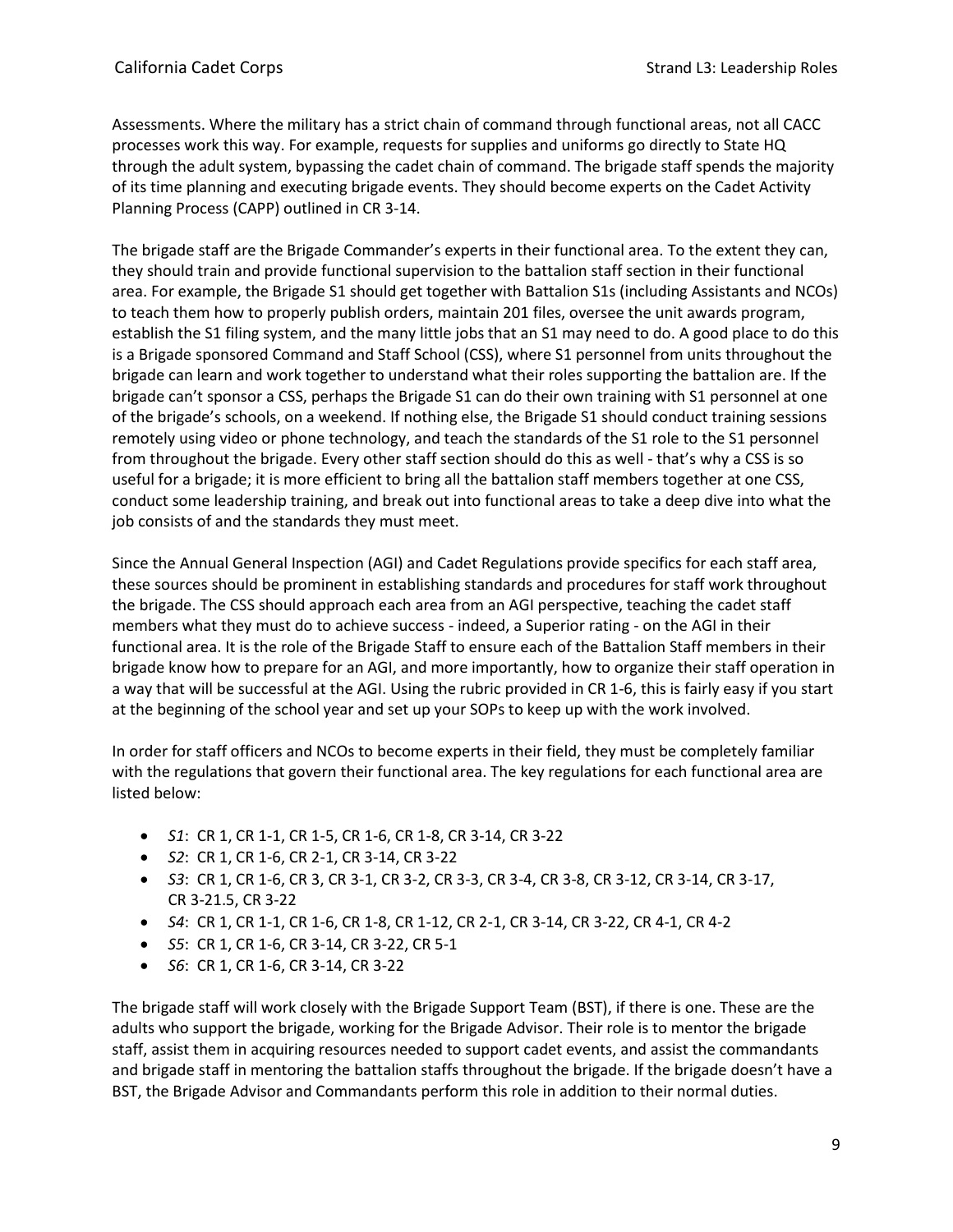Assessments. Where the military has a strict chain of command through functional areas, not all CACC processes work this way. For example, requests for supplies and uniforms go directly to State HQ through the adult system, bypassing the cadet chain of command. The brigade staff spends the majority of its time planning and executing brigade events. They should become experts on the Cadet Activity Planning Process (CAPP) outlined in CR 3-14.

The brigade staff are the Brigade Commander's experts in their functional area. To the extent they can, they should train and provide functional supervision to the battalion staff section in their functional area. For example, the Brigade S1 should get together with Battalion S1s (including Assistants and NCOs) to teach them how to properly publish orders, maintain 201 files, oversee the unit awards program, establish the S1 filing system, and the many little jobs that an S1 may need to do. A good place to do this is a Brigade sponsored Command and Staff School (CSS), where S1 personnel from units throughout the brigade can learn and work together to understand what their roles supporting the battalion are. If the brigade can't sponsor a CSS, perhaps the Brigade S1 can do their own training with S1 personnel at one of the brigade's schools, on a weekend. If nothing else, the Brigade S1 should conduct training sessions remotely using video or phone technology, and teach the standards of the S1 role to the S1 personnel from throughout the brigade. Every other staff section should do this as well - that's why a CSS is so useful for a brigade; it is more efficient to bring all the battalion staff members together at one CSS, conduct some leadership training, and break out into functional areas to take a deep dive into what the job consists of and the standards they must meet.

Since the Annual General Inspection (AGI) and Cadet Regulations provide specifics for each staff area, these sources should be prominent in establishing standards and procedures for staff work throughout the brigade. The CSS should approach each area from an AGI perspective, teaching the cadet staff members what they must do to achieve success - indeed, a Superior rating - on the AGI in their functional area. It is the role of the Brigade Staff to ensure each of the Battalion Staff members in their brigade know how to prepare for an AGI, and more importantly, how to organize their staff operation in a way that will be successful at the AGI. Using the rubric provided in CR 1-6, this is fairly easy if you start at the beginning of the school year and set up your SOPs to keep up with the work involved.

In order for staff officers and NCOs to become experts in their field, they must be completely familiar with the regulations that govern their functional area. The key regulations for each functional area are listed below:

- *S1*: CR 1, CR 1-1, CR 1-5, CR 1-6, CR 1-8, CR 3-14, CR 3-22
- *S2*: CR 1, CR 1-6, CR 2-1, CR 3-14, CR 3-22
- *S3*: CR 1, CR 1-6, CR 3, CR 3-1, CR 3-2, CR 3-3, CR 3-4, CR 3-8, CR 3-12, CR 3-14, CR 3-17, CR 3-21.5, CR 3-22
- *S4*: CR 1, CR 1-1, CR 1-6, CR 1-8, CR 1-12, CR 2-1, CR 3-14, CR 3-22, CR 4-1, CR 4-2
- *S5*: CR 1, CR 1-6, CR 3-14, CR 3-22, CR 5-1
- *S6*: CR 1, CR 1-6, CR 3-14, CR 3-22

The brigade staff will work closely with the Brigade Support Team (BST), if there is one. These are the adults who support the brigade, working for the Brigade Advisor. Their role is to mentor the brigade staff, assist them in acquiring resources needed to support cadet events, and assist the commandants and brigade staff in mentoring the battalion staffs throughout the brigade. If the brigade doesn't have a BST, the Brigade Advisor and Commandants perform this role in addition to their normal duties.